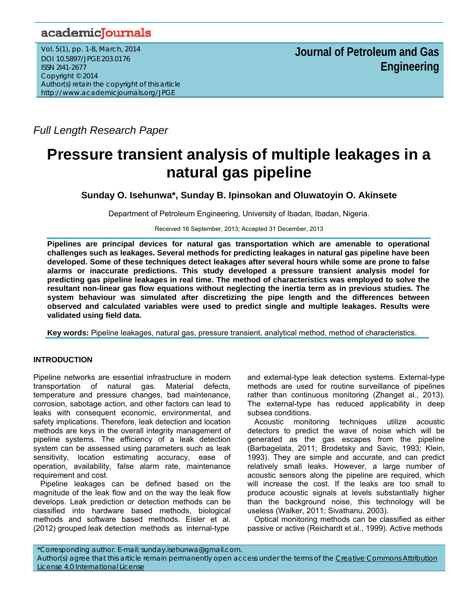## academicJournals

Vol. 5(1), pp. 1-8, March, 2014 DOI 10.5897/JPGE 203.0176 ISSN 2I41-2677 Copyright © 2014 Author(s) retain the copyright of this article http://www.academicjournals.org/JPGE

*Full Length Research Paper*

# **Pressure transient analysis of multiple leakages in a natural gas pipeline**

**Sunday O. Isehunwa\*, Sunday B. Ipinsokan and Oluwatoyin O. Akinsete** 

Department of Petroleum Engineering, University of Ibadan, Ibadan, Nigeria.

Received 16 September, 2013; Accepted 31 December, 2013

**Pipelines are principal devices for natural gas transportation which are amenable to operational challenges such as leakages. Several methods for predicting leakages in natural gas pipeline have been developed. Some of these techniques detect leakages after several hours while some are prone to false alarms or inaccurate predictions. This study developed a pressure transient analysis model for predicting gas pipeline leakages in real time. The method of characteristics was employed to solve the resultant non-linear gas flow equations without neglecting the inertia term as in previous studies. The system behaviour was simulated after discretizing the pipe length and the differences between observed and calculated variables were used to predict single and multiple leakages. Results were validated using field data.** 

**Key words:** Pipeline leakages, natural gas, pressure transient, analytical method, method of characteristics.

### **INTRODUCTION**

Pipeline networks are essential infrastructure in modern transportation of natural gas. Material defects, temperature and pressure changes, bad maintenance, corrosion, sabotage action, and other factors can lead to leaks with consequent economic, environmental, and safety implications. Therefore, leak detection and location methods are keys in the overall integrity management of pipeline systems. The efficiency of a leak detection system can be assessed using parameters such as leak sensitivity, location estimating accuracy, ease of operation, availability, false alarm rate, maintenance requirement and cost.

Pipeline leakages can be defined based on the magnitude of the leak flow and on the way the leak flow develops. Leak prediction or detection methods can be classified into hardware based methods, biological methods and software based methods. Eisler et al. (2012) grouped leak detection methods as internal-type

and external-type leak detection systems. External-type methods are used for routine surveillance of pipelines rather than continuous monitoring (Zhanget al., 2013). The external-type has reduced applicability in deep subsea conditions.

Acoustic monitoring techniques utilize acoustic detectors to predict the wave of noise which will be generated as the gas escapes from the pipeline (Barbagelata, 2011; Brodetsky and Savic, 1993; Klein, 1993). They are simple and accurate, and can predict relatively small leaks. However, a large number of acoustic sensors along the pipeline are required, which will increase the cost. If the leaks are too small to produce acoustic signals at levels substantially higher than the background noise, this technology will be useless (Walker, 2011; Sivathanu, 2003).

Optical monitoring methods can be classified as either passive or active (Reichardt et al., 1999). Active methods

\*Corresponding author. E-mail: sunday.isehunwa@gmail.com. Author(s) agree that this article remain permanently open access under the terms of the Creative Commons Attribution License 4.0 International License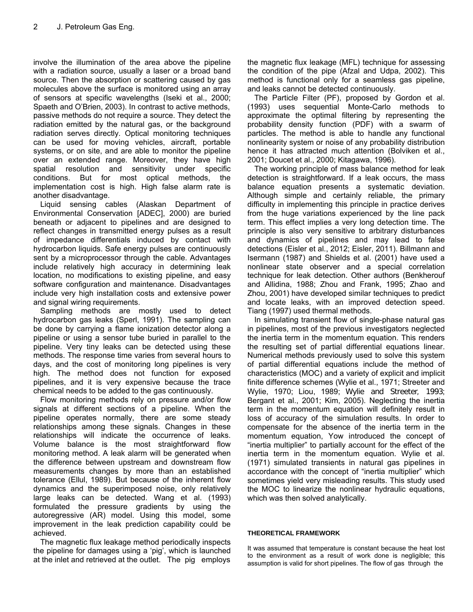involve the illumination of the area above the pipeline with a radiation source, usually a laser or a broad band source. Then the absorption or scattering caused by gas molecules above the surface is monitored using an array of sensors at specific wavelengths (Iseki et al., 2000; Spaeth and O'Brien, 2003). In contrast to active methods, passive methods do not require a source. They detect the radiation emitted by the natural gas, or the background radiation serves directly. Optical monitoring techniques can be used for moving vehicles, aircraft, portable systems, or on site, and are able to monitor the pipeline over an extended range. Moreover, they have high spatial resolution and sensitivity under specific conditions. But for most optical methods, the implementation cost is high. High false alarm rate is another disadvantage.

Liquid sensing cables (Alaskan Department of Environmental Conservation [ADEC], 2000) are buried beneath or adjacent to pipelines and are designed to reflect changes in transmitted energy pulses as a result of impedance differentials induced by contact with hydrocarbon liquids. Safe energy pulses are continuously sent by a microprocessor through the cable. Advantages include relatively high accuracy in determining leak location, no modifications to existing pipeline, and easy software configuration and maintenance. Disadvantages include very high installation costs and extensive power and signal wiring requirements.

Sampling methods are mostly used to detect hydrocarbon gas leaks (Sperl, 1991). The sampling can be done by carrying a flame ionization detector along a pipeline or using a sensor tube buried in parallel to the pipeline. Very tiny leaks can be detected using these methods. The response time varies from several hours to days, and the cost of monitoring long pipelines is very high. The method does not function for exposed pipelines, and it is very expensive because the trace chemical needs to be added to the gas continuously.

Flow monitoring methods rely on pressure and/or flow signals at different sections of a pipeline. When the pipeline operates normally, there are some steady relationships among these signals. Changes in these relationships will indicate the occurrence of leaks. Volume balance is the most straightforward flow monitoring method. A leak alarm will be generated when the difference between upstream and downstream flow measurements changes by more than an established tolerance (Ellul, 1989). But because of the inherent flow dynamics and the superimposed noise, only relatively large leaks can be detected. Wang et al. (1993) formulated the pressure gradients by using the autoregressive (AR) model. Using this model, some improvement in the leak prediction capability could be achieved.

The magnetic flux leakage method periodically inspects the pipeline for damages using a 'pig', which is launched at the inlet and retrieved at the outlet. The pig employs

the magnetic flux leakage (MFL) technique for assessing the condition of the pipe (Afzal and Udpa, 2002). This method is functional only for a seamless gas pipeline, and leaks cannot be detected continuously.

The Particle Filter (PF), proposed by Gordon et al. (1993) uses sequential Monte-Carlo methods to approximate the optimal filtering by representing the probability density function (PDF) with a swarm of particles. The method is able to handle any functional nonlinearity system or noise of any probability distribution hence it has attracted much attention (Bolviken et al., 2001; Doucet et al., 2000; Kitagawa, 1996).

The working principle of mass balance method for leak detection is straightforward. If a leak occurs, the mass balance equation presents a systematic deviation. Although simple and certainly reliable, the primary difficulty in implementing this principle in practice derives from the huge variations experienced by the line pack term. This effect implies a very long detection time. The principle is also very sensitive to arbitrary disturbances and dynamics of pipelines and may lead to false detections (Eisler et al., 2012; Eisler, 2011). Billmann and Isermann (1987) and Shields et al. (2001) have used a nonlinear state observer and a special correlation technique for leak detection. Other authors (Benkherouf and Allidina, 1988; Zhou and Frank, 1995; Zhao and Zhou, 2001) have developed similar techniques to predict and locate leaks, with an improved detection speed. Tiang (1997) used thermal methods.

In simulating transient flow of single-phase natural gas in pipelines, most of the previous investigators neglected the inertia term in the momentum equation. This renders the resulting set of partial differential equations linear. Numerical methods previously used to solve this system of partial differential equations include the method of characteristics (MOC) and a variety of explicit and implicit finite difference schemes (Wylie et al., 1971; Streeter and Wylie, 1970; Liou, 1989; Wylie and Streeter, 1993; Bergant et al., 2001; Kim, 2005). Neglecting the inertia term in the momentum equation will definitely result in loss of accuracy of the simulation results. In order to compensate for the absence of the inertia term in the momentum equation, Yow introduced the concept of "inertia multiplier" to partially account for the effect of the inertia term in the momentum equation. Wylie et al. (1971) simulated transients in natural gas pipelines in accordance with the concept of "inertia multiplier" which sometimes yield very misleading results. This study used the MOC to linearize the nonlinear hydraulic equations, which was then solved analytically.

#### **THEORETICAL FRAMEWORK**

It was assumed that temperature is constant because the heat lost to the environment as a result of work done is negligible; this assumption is valid for short pipelines. The flow of gas through the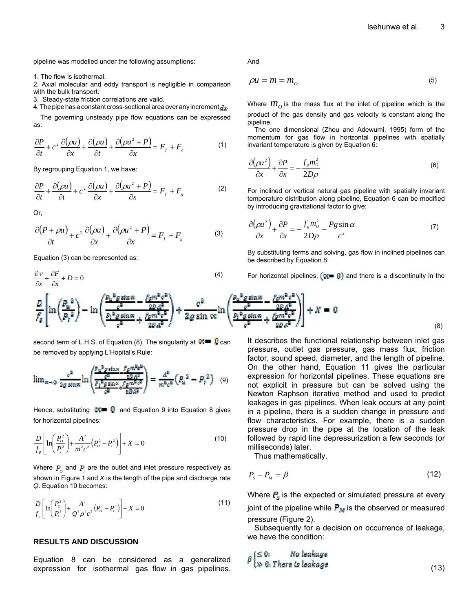pipeline was modelled under the following assumptions:

1. The flow is isothermal.

2. Axial molecular and eddy transport is negligible in comparison with the bulk transport.

3. Steady-state friction correlations are valid.

4. The pipe has a constant cross-sectional area over any increment  $dx$ .

The governing unsteady pipe flow equations can be expressed as:

$$
\frac{\partial P}{\partial t} + c^2 \frac{\partial (\rho u)}{\partial x} + \frac{\partial (\rho u)}{\partial t} + \frac{\partial (\rho u^2 + P)}{\partial x} = F_f + F_g \tag{1}
$$

By regrouping Equation 1, we have:

$$
\frac{\partial P}{\partial t} + \frac{\partial(\rho u)}{\partial t} + c^2 \frac{\partial(\rho u)}{\partial x} + \frac{\partial(\rho u^2 + P)}{\partial x} = F_f + F_s
$$
 (2)

Or,

$$
\frac{\partial (P + \rho u)}{\partial t} + c^2 \frac{\partial (\rho u)}{\partial x} + \frac{\partial (\rho u^2 + P)}{\partial x} = F_f + F_s \tag{3}
$$

Equation (3) can be represented as:

$$
\frac{\partial v}{\partial x} + \frac{\partial F}{\partial x} + D = 0
$$
\n(4)

And

$$
\rho u = m = m_o \tag{5}
$$

Where  $m<sub>o</sub>$  is the mass flux at the inlet of pipeline which is the product of the gas density and gas velocity is constant along the pipeline.

The one dimensional (Zhou and Adewumi, 1995) form of the momentum for gas flow in horizontal pipelines with spatially invariant temperature is given by Equation 6:

$$
\frac{\partial(\rho u^2)}{\partial x} + \frac{\partial P}{\partial x} = -\frac{f_s m_o^2}{2D\rho}
$$
(6)

For inclined or vertical natural gas pipeline with spatially invariant temperature distribution along pipeline, Equation 6 can be modified by introducing gravitational factor to give:

$$
\frac{\partial(\rho u^2)}{\partial x} + \frac{\partial P}{\partial x} = -\frac{f_s m_o^2}{2D\rho} - \frac{Pg \sin \alpha}{c^2}
$$
 (7)

By substituting terms and solving, gas flow in inclined pipelines can be described by Equation 8:

For horizontal pipelines,  $(\alpha = 0)$  and there is a discontinuity in the

$$
\frac{E}{f_g} \left[ \ln \left( \frac{P_u^2}{P_t^2} \right) - \ln \left( \frac{\frac{P_u^2 g \sin \pi}{c^2} - \frac{f_g m^2 c^2}{2D g^2}}{\frac{P_t^2 g \sin \pi}{c^2} + \frac{f_g m^2 c^2}{2D g^2}} \right) + \frac{c^2}{2g \sin \alpha} \ln \left( \frac{\frac{P_u^2 g \sin \pi}{c^2} - \frac{f_g m^2 c^2}{2D g^2}}{\frac{P_t^2 g \sin \pi}{c^2} + \frac{f_g m^2 c^2}{2D g^2}} \right) \right] + X = 0
$$
\n(8)

second term of L.H.S. of Equation (8). The singularity at  $\mathbb{R}$  and  $\mathbb{Q}$  can be removed by applying L'Hopital's Rule:

$$
\lim_{\alpha \to 0} \frac{e^2}{2g \sin \alpha} \ln \left( \frac{\frac{F_u^2 g \sin \alpha}{\epsilon^2} - \frac{f g m^2 e^2}{2B A^2}}{\frac{F_l^2 g \sin \alpha}{\epsilon^2} + \frac{f g m^2 e^2}{2B A^2}} \right) = \frac{A^2}{m^2 e^2} \left( P_u^2 - P_t^2 \right) \tag{9}
$$

Hence, substituting  $\mathbb{C} = \mathbb{C}$  and Equation 9 into Equation 8 gives for horizontal pipelines:

$$
\frac{D}{f_s} \left[ \ln \left( \frac{P_o^2}{P_i^2} \right) + \frac{A^2}{m^2 c^2} \left( P_o^2 - P_i^2 \right) \right] + X = 0 \tag{10}
$$

Where  $P_{_O}$  and  $P_{_i}$  are the outlet and inlet pressure respectively as shown in Figure 1 and *X* is the length of the pipe and discharge rate *Q*. Equation 10 becomes:

$$
\frac{D}{f_s} \left[ \ln \left( \frac{P_o^2}{P_i^2} \right) + \frac{A^2}{Q^2 \rho^2 c^2} \left( P_o^2 - P_i^2 \right) \right] + X = 0 \tag{11}
$$

#### **RESULTS AND DISCUSSION**

Equation 8 can be considered as a generalized expression for isothermal gas flow in gas pipelines.

It describes the functional relationship between inlet gas pressure, outlet gas pressure, gas mass flux, friction factor, sound speed, diameter, and the length of pipeline. On the other hand, Equation 11 gives the particular expression for horizontal pipelines. These equations are not explicit in pressure but can be solved using the Newton Raphson iterative method and used to predict leakages in gas pipelines. When leak occurs at any point in a pipeline, there is a sudden change in pressure and flow characteristics. For example, there is a sudden pressure drop in the pipe at the location of the leak followed by rapid line depressurization a few seconds (or milliseconds) later.

Thus mathematically,

$$
P_s - P_M = \beta \tag{12}
$$

Where  $P_{\rm g}$  is the expected or simulated pressure at every joint of the pipeline while  $P_M$  is the observed or measured pressure (Figure 2).

Subsequently for a decision on occurrence of leakage, we have the condition:

$$
\beta \begin{cases} \leq 0; & \text{No leakage} \\ \gg 0; \text{ There is leakage} \end{cases} \tag{13}
$$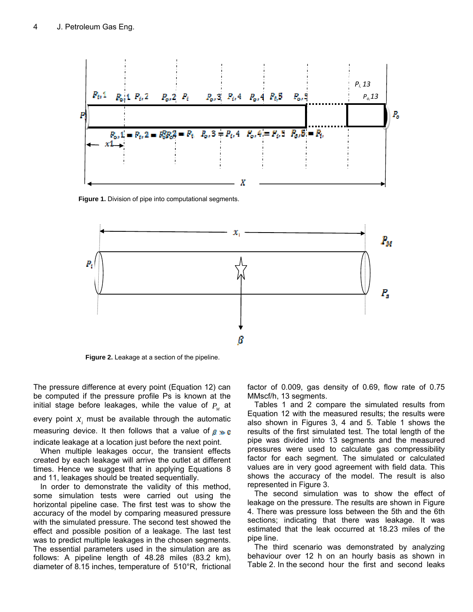

**Figure 1.** Division of pipe into computational segments.



**Figure 2.** Leakage at a section of the pipeline.

The pressure difference at every point (Equation 12) can be computed if the pressure profile Ps is known at the initial stage before leakages, while the value of  $P<sub>n</sub>$  at

every point  $x_i$  must be available through the automatic measuring device. It then follows that a value of  $g \gg g$ indicate leakage at a location just before the next point.

When multiple leakages occur, the transient effects created by each leakage will arrive the outlet at different times. Hence we suggest that in applying Equations 8 and 11, leakages should be treated sequentially.

In order to demonstrate the validity of this method, some simulation tests were carried out using the horizontal pipeline case. The first test was to show the accuracy of the model by comparing measured pressure with the simulated pressure. The second test showed the effect and possible position of a leakage. The last test was to predict multiple leakages in the chosen segments. The essential parameters used in the simulation are as follows: A pipeline length of 48.28 miles (83.2 km), diameter of 8.15 inches, temperature of 510°R, frictional factor of 0.009, gas density of 0.69, flow rate of 0.75 MMscf/h, 13 segments.

Tables 1 and 2 compare the simulated results from Equation 12 with the measured results; the results were also shown in Figures 3, 4 and 5. Table 1 shows the results of the first simulated test. The total length of the pipe was divided into 13 segments and the measured pressures were used to calculate gas compressibility factor for each segment. The simulated or calculated values are in very good agreement with field data. This shows the accuracy of the model. The result is also represented in Figure 3.

The second simulation was to show the effect of leakage on the pressure. The results are shown in Figure 4. There was pressure loss between the 5th and the 6th sections; indicating that there was leakage. It was estimated that the leak occurred at 18.23 miles of the pipe line.

The third scenario was demonstrated by analyzing behaviour over 12 h on an hourly basis as shown in Table 2. In the second hour the first and second leaks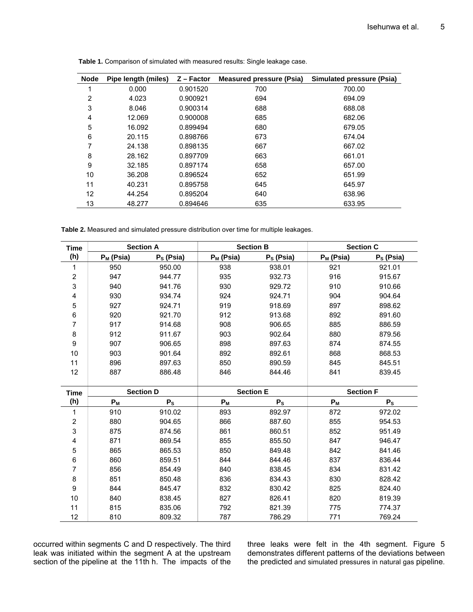| <b>Node</b> | Pipe length (miles) | $Z$ – Factor | <b>Measured pressure (Psia)</b> | <b>Simulated pressure (Psia)</b> |
|-------------|---------------------|--------------|---------------------------------|----------------------------------|
| ٠           | 0.000               | 0.901520     | 700                             | 700.00                           |
| 2           | 4.023               | 0.900921     | 694                             | 694.09                           |
| 3           | 8.046               | 0.900314     | 688                             | 688.08                           |
| 4           | 12.069              | 0.900008     | 685                             | 682.06                           |
| 5           | 16.092              | 0.899494     | 680                             | 679.05                           |
| 6           | 20.115              | 0.898766     | 673                             | 674.04                           |
| 7           | 24.138              | 0.898135     | 667                             | 667.02                           |
| 8           | 28.162              | 0.897709     | 663                             | 661.01                           |
| 9           | 32.185              | 0.897174     | 658                             | 657.00                           |
| 10          | 36.208              | 0.896524     | 652                             | 651.99                           |
| 11          | 40.231              | 0.895758     | 645                             | 645.97                           |
| 12          | 44.254              | 0.895204     | 640                             | 638.96                           |
| 13          | 48.277              | 0.894646     | 635                             | 633.95                           |

**Table 1.** Comparison of simulated with measured results: Single leakage case.

**Table 2.** Measured and simulated pressure distribution over time for multiple leakages.

| <b>Time</b> | <b>Section A</b> |             | <b>Section B</b> |             | <b>Section C</b> |             |
|-------------|------------------|-------------|------------------|-------------|------------------|-------------|
| (h)         | $P_M$ (Psia)     | $PS$ (Psia) | $P_M$ (Psia)     | $PS$ (Psia) | $P_M$ (Psia)     | $PS$ (Psia) |
|             | 950              | 950.00      | 938              | 938.01      | 921              | 921.01      |
| 2           | 947              | 944.77      | 935              | 932.73      | 916              | 915.67      |
| 3           | 940              | 941.76      | 930              | 929.72      | 910              | 910.66      |
| 4           | 930              | 934.74      | 924              | 924.71      | 904              | 904.64      |
| 5           | 927              | 924.71      | 919              | 918.69      | 897              | 898.62      |
| 6           | 920              | 921.70      | 912              | 913.68      | 892              | 891.60      |
| ⇁           | 917              | 914.68      | 908              | 906.65      | 885              | 886.59      |
| 8           | 912              | 911.67      | 903              | 902.64      | 880              | 879.56      |
| 9           | 907              | 906.65      | 898              | 897.63      | 874              | 874.55      |
| 10          | 903              | 901.64      | 892              | 892.61      | 868              | 868.53      |
| 11          | 896              | 897.63      | 850              | 890.59      | 845              | 845.51      |
| 12          | 887              | 886.48      | 846              | 844.46      | 841              | 839.45      |

| <b>Time</b>    | <b>Section D</b> |         | <b>Section E</b> |         | <b>Section F</b> |         |
|----------------|------------------|---------|------------------|---------|------------------|---------|
| (h)            | $P_M$            | $P_{S}$ | $P_M$            | $P_{S}$ | $P_M$            | $P_{S}$ |
|                | 910              | 910.02  | 893              | 892.97  | 872              | 972.02  |
| $\overline{2}$ | 880              | 904.65  | 866              | 887.60  | 855              | 954.53  |
| 3              | 875              | 874.56  | 861              | 860.51  | 852              | 951.49  |
| 4              | 871              | 869.54  | 855              | 855.50  | 847              | 946.47  |
| 5              | 865              | 865.53  | 850              | 849.48  | 842              | 841.46  |
| 6              | 860              | 859.51  | 844              | 844.46  | 837              | 836.44  |
| 7              | 856              | 854.49  | 840              | 838.45  | 834              | 831.42  |
| 8              | 851              | 850.48  | 836              | 834.43  | 830              | 828.42  |
| 9              | 844              | 845.47  | 832              | 830.42  | 825              | 824.40  |
| 10             | 840              | 838.45  | 827              | 826.41  | 820              | 819.39  |
| 11             | 815              | 835.06  | 792              | 821.39  | 775              | 774.37  |
| 12             | 810              | 809.32  | 787              | 786.29  | 771              | 769.24  |

occurred within segments C and D respectively. The third leak was initiated within the segment A at the upstream section of the pipeline at the 11th h. The impacts of the

three leaks were felt in the 4th segment. Figure 5 demonstrates different patterns of the deviations between the predicted and simulated pressures in natural gas pipeline.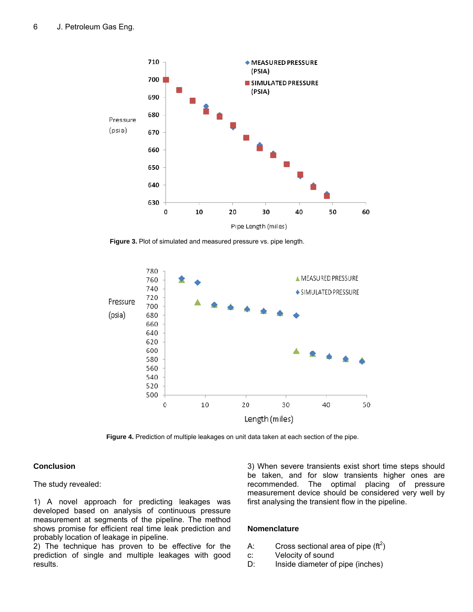

**Figure 3.** Plot of simulated and measured pressure vs. pipe length.



**Figure 4.** Prediction of multiple leakages on unit data taken at each section of the pipe.

#### **Conclusion**

The study revealed:

1) A novel approach for predicting leakages was developed based on analysis of continuous pressure measurement at segments of the pipeline. The method shows promise for efficient real time leak prediction and probably location of leakage in pipeline.

2) The technique has proven to be effective for the prediction of single and multiple leakages with good results.

3) When severe transients exist short time steps should be taken, and for slow transients higher ones are recommended. The optimal placing of pressure measurement device should be considered very well by first analysing the transient flow in the pipeline.

#### **Nomenclature**

- A: Cross sectional area of pipe (ft<sup>2</sup>)
- c: Velocity of sound
- D: Inside diameter of pipe (inches)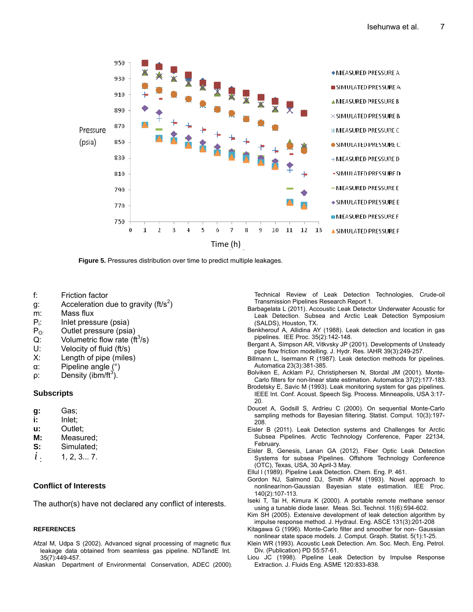

**Figure 5.** Pressures distribution over time to predict multiple leakages.

- f: Friction factor
- g: Acceleration due to gravity (ft/s<sup>2</sup>)
- m: Mass flux
- : Inlet pressure (psia)
- $P_i$ :<br> $P_{0i}$ Outlet pressure (psia)
- $Q$ : Volumetric flow rate (ft<sup>3</sup>/s)
- U: Velocity of fluid (ft/s)
- X: Length of pipe (miles)
- α: Pipeline angle (°)
- $\rho$ : Density (ibm/ft<sup>3</sup>).

#### **Subscripts**

- **g:** Gas;
- **i:** Inlet;
- **u:** Outlet;
- **M:** Measured;
- **S:** Simulated;
- $i$   $1, 2, 3... 7$ .

#### **Conflict of Interests**

The author(s) have not declared any conflict of interests.

#### **REFERENCES**

- Afzal M, Udpa S (2002). Advanced signal processing of magnetic flux leakage data obtained from seamless gas pipeline. NDTandE Int. 35(7):449-457.
- Alaskan Department of Environmental Conservation, ADEC (2000).

Technical Review of Leak Detection Technologies, Crude-oil Transmission Pipelines Research Report 1.

- Barbagelata L (2011). Accoustic Leak Detector Underwater Acoustic for Leak Detection. Subsea and Arctic Leak Detection Symposium (SALDS), Houston, TX.
- Benkherouf A, Allidina AY (1988). Leak detection and location in gas pipelines. IEE Proc. 35(2):142-148.
- Bergant A, Simpson AR, Vitkvsky JP (2001). Developments of Unsteady pipe flow friction modelling. J. Hydr. Res. IAHR 39(3):249-257.
- Billmann L, Isermann R (1987). Leak detection methods for pipelines. Automatica 23(3):381-385.
- Bolviken E, Acklam PJ, Christiphersen N, Stordal JM (2001). Monte-Carlo filters for non-linear state estimation. Automatica 37(2):177-183.
- Brodetsky E, Savic M (1993). Leak monitoring system for gas pipelines. IEEE Int. Conf. Acoust. Speech Sig. Process. Minneapolis, USA 3:17- 20.
- Doucet A, Godsill S, Ardrieu C (2000). On sequential Monte-Carlo sampling methods for Bayesian filtering. Statist. Comput. 10(3):197- 208.
- Eisler B (2011). Leak Detection systems and Challenges for Arctic Subsea Pipelines. Arctic Technology Conference, Paper 22134, February.
- Eisler B, Genesis, Lanan GA (2012). Fiber Optic Leak Detection Systems for subsea Pipelines. Offshore Technology Conference (OTC), Texas, USA, 30 April-3 May.
- Ellul I (1989). Pipeline Leak Detection. Chem. Eng. P. 461.
- Gordon NJ, Salmond DJ, Smith AFM (1993). Novel approach to nonlinear/non-Gaussian Bayesian state estimation. IEE Proc. 140(2):107-113.
- Iseki T, Tai H, Kimura K (2000). A portable remote methane sensor using a tunable diode laser. Meas. Sci. Technol. 11(6):594-602.
- Kim SH (2005). Extensive development of leak detection algorithm by impulse response method. J. Hydraul. Eng. ASCE 131(3):201-208
- Kitagawa G (1996). Monte-Carlo filter and smoother for non- Gaussian nonlinear state space models. J. Comput. Graph. Statist. 5(1):1-25.
- Klein WR (1993). Acoustic Leak Detection. Am. Soc. Mech. Eng. Petrol. Div. (Publication) PD 55:57-61.
- Liou JC (1998). Pipeline Leak Detection by Impulse Response Extraction. J. Fluids Eng. ASME 120:833-838.